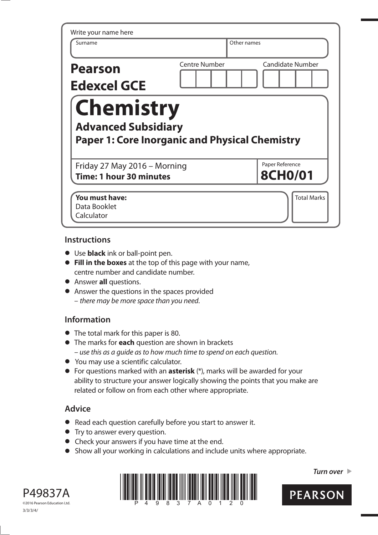| <b>Pearson</b><br><b>Edexcel GCE</b>                                                | <b>Centre Number</b> | <b>Candidate Number</b>           |
|-------------------------------------------------------------------------------------|----------------------|-----------------------------------|
|                                                                                     |                      |                                   |
| <b>Chemistry</b>                                                                    |                      |                                   |
| <b>Advanced Subsidiary</b><br><b>Paper 1: Core Inorganic and Physical Chemistry</b> |                      |                                   |
| Friday 27 May 2016 - Morning<br>Time: 1 hour 30 minutes                             |                      | Paper Reference<br><b>8CH0/01</b> |

## **Instructions**

- **•** Use **black** ink or ball-point pen.
- **• Fill in the boxes** at the top of this page with your name, centre number and candidate number.
- **•** Answer **all** questions.
- **•** Answer the questions in the spaces provided – there may be more space than you need.

## **Information**

- **•** The total mark for this paper is 80.
- **•** The marks for **each** question are shown in brackets – use this as a guide as to how much time to spend on each question.
- **•** You may use a scientific calculator.
- **•** For questions marked with an **asterisk** (\*), marks will be awarded for your ability to structure your answer logically showing the points that you make are related or follow on from each other where appropriate.

## **Advice**

- **•** Read each question carefully before you start to answer it.
- Read each question carefully<br>• Try to answer every question.
- **•** Try to answer every question.<br>• Check your answers if you have time at the end.
- **•** Show all your working in calculations and include units where appropriate.





*Turn over* 

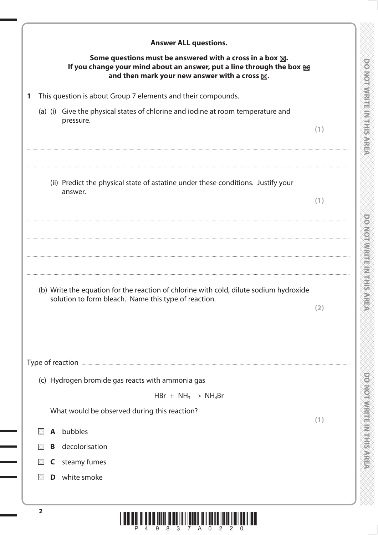| <b>Answer ALL questions.</b>                                                                                                                                                                                                 |                   |
|------------------------------------------------------------------------------------------------------------------------------------------------------------------------------------------------------------------------------|-------------------|
| Some questions must be answered with a cross in a box $\boxtimes$ .<br>If you change your mind about an answer, put a line through the box $\mathbb{\mathbb{R}}$<br>and then mark your new answer with a cross $\boxtimes$ . |                   |
| This question is about Group 7 elements and their compounds.                                                                                                                                                                 |                   |
| (a) (i) Give the physical states of chlorine and iodine at room temperature and<br>pressure.                                                                                                                                 |                   |
|                                                                                                                                                                                                                              | (1)               |
| (ii) Predict the physical state of astatine under these conditions. Justify your<br>answer.                                                                                                                                  |                   |
|                                                                                                                                                                                                                              | (1)               |
|                                                                                                                                                                                                                              |                   |
| (b) Write the equation for the reaction of chlorine with cold, dilute sodium hydroxide<br>solution to form bleach. Name this type of reaction.                                                                               | $\left( 2\right)$ |
|                                                                                                                                                                                                                              |                   |
| (c) Hydrogen bromide gas reacts with ammonia gas                                                                                                                                                                             |                   |
| HBr + $NH_3$ $\rightarrow$ NH <sub>4</sub> Br                                                                                                                                                                                |                   |
| What would be observed during this reaction?                                                                                                                                                                                 | (1)               |
| bubbles<br>A                                                                                                                                                                                                                 |                   |
|                                                                                                                                                                                                                              |                   |
| decolorisation<br>B                                                                                                                                                                                                          |                   |
| steamy fumes<br>C                                                                                                                                                                                                            |                   |

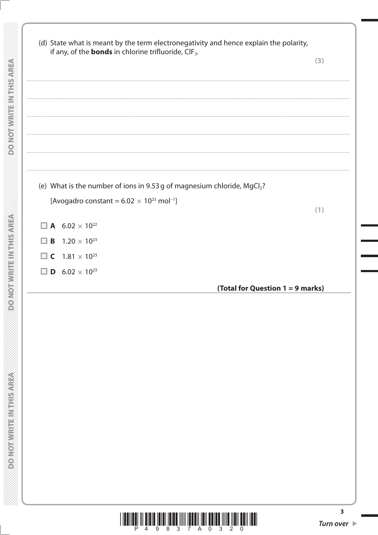$\Box$  **D** 6.02  $\times$  10<sup>23</sup>

|                                                                | (d) State what is meant by the term electronegativity and hence explain the polarity,<br>if any, of the <b>bonds</b> in chlorine trifluoride, CIF <sub>3</sub> . | (3)              |
|----------------------------------------------------------------|------------------------------------------------------------------------------------------------------------------------------------------------------------------|------------------|
|                                                                |                                                                                                                                                                  |                  |
|                                                                |                                                                                                                                                                  |                  |
|                                                                |                                                                                                                                                                  |                  |
|                                                                |                                                                                                                                                                  |                  |
|                                                                |                                                                                                                                                                  |                  |
|                                                                |                                                                                                                                                                  |                  |
|                                                                | (e) What is the number of ions in 9.53 g of magnesium chloride, $MgCl2$ ?                                                                                        |                  |
| [Avogadro constant = $6.02 \times 10^{23}$ mol <sup>-1</sup> ] |                                                                                                                                                                  | $\left(1\right)$ |
| <b>A</b> 6.02 $\times$ 10 <sup>22</sup>                        |                                                                                                                                                                  |                  |
| <b>B</b> $1.20 \times 10^{23}$                                 |                                                                                                                                                                  |                  |
| <b>C</b> $1.81 \times 10^{23}$                                 |                                                                                                                                                                  |                  |

(Total for Question 1 = 9 marks)



 $\overline{\mathbf{3}}$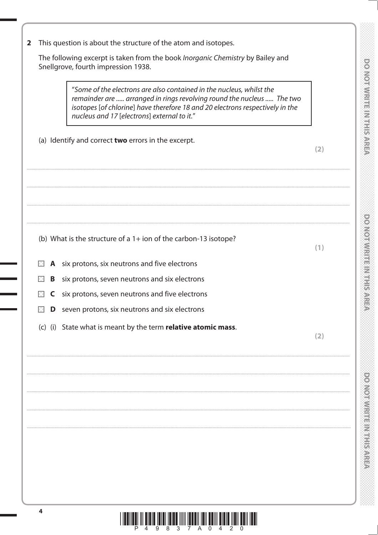|  |        | ÷. |   |  |
|--|--------|----|---|--|
|  |        |    |   |  |
|  |        |    |   |  |
|  |        |    |   |  |
|  |        |    |   |  |
|  |        |    |   |  |
|  |        |    |   |  |
|  |        |    |   |  |
|  |        |    |   |  |
|  |        |    |   |  |
|  |        |    |   |  |
|  | m      | ś  |   |  |
|  |        |    |   |  |
|  | ×      |    |   |  |
|  |        |    |   |  |
|  |        |    |   |  |
|  |        |    |   |  |
|  |        |    |   |  |
|  |        |    |   |  |
|  |        |    |   |  |
|  |        |    |   |  |
|  |        |    |   |  |
|  | ⇔      |    |   |  |
|  |        |    |   |  |
|  |        |    |   |  |
|  |        |    |   |  |
|  |        |    |   |  |
|  |        | Ś  |   |  |
|  |        |    |   |  |
|  |        |    |   |  |
|  |        |    |   |  |
|  |        |    |   |  |
|  |        |    |   |  |
|  |        |    |   |  |
|  |        |    |   |  |
|  |        |    |   |  |
|  |        |    |   |  |
|  | Ř      |    |   |  |
|  |        |    |   |  |
|  |        |    |   |  |
|  |        |    |   |  |
|  |        |    |   |  |
|  |        |    |   |  |
|  |        |    |   |  |
|  |        |    |   |  |
|  |        |    |   |  |
|  |        |    |   |  |
|  |        | Ĥ. |   |  |
|  |        |    |   |  |
|  |        |    |   |  |
|  | si.    |    |   |  |
|  |        |    |   |  |
|  |        |    |   |  |
|  | ÷      |    |   |  |
|  |        |    |   |  |
|  | è      |    |   |  |
|  |        |    |   |  |
|  |        |    |   |  |
|  |        |    |   |  |
|  |        |    |   |  |
|  | ₩      |    |   |  |
|  |        |    |   |  |
|  |        |    |   |  |
|  |        | m  |   |  |
|  |        |    |   |  |
|  | ğ<br>≕ | ш  |   |  |
|  |        |    |   |  |
|  |        |    |   |  |
|  |        |    |   |  |
|  |        |    |   |  |
|  |        |    |   |  |
|  |        |    |   |  |
|  | t      |    |   |  |
|  |        |    |   |  |
|  |        |    |   |  |
|  |        |    |   |  |
|  | ۹      |    |   |  |
|  | d      |    |   |  |
|  |        |    |   |  |
|  |        |    |   |  |
|  | m      |    |   |  |
|  |        |    |   |  |
|  |        |    |   |  |
|  |        |    |   |  |
|  |        |    | I |  |
|  | ń      |    |   |  |
|  |        |    |   |  |
|  | 1      |    |   |  |
|  |        |    |   |  |

 $(2)$ 

 $(1)$ 

 $(2)$ 

| 2 |   | This question is about the structure of the atom and isotopes.                                                                                                                                                                                                                |
|---|---|-------------------------------------------------------------------------------------------------------------------------------------------------------------------------------------------------------------------------------------------------------------------------------|
|   |   | The following excerpt is taken from the book <i>Inorganic Chemistry</i> by Bailey and<br>Snellgrove, fourth impression 1938.                                                                                                                                                  |
|   |   | "Some of the electrons are also contained in the nucleus, whilst the<br>remainder are  arranged in rings revolving round the nucleus  The two<br>isotopes [of chlorine] have therefore 18 and 20 electrons respectively in the<br>nucleus and 17 [electrons] external to it." |
|   |   | (a) Identify and correct two errors in the excerpt.                                                                                                                                                                                                                           |
|   |   |                                                                                                                                                                                                                                                                               |
|   |   |                                                                                                                                                                                                                                                                               |
|   |   | (b) What is the structure of a 1+ ion of the carbon-13 isotope?                                                                                                                                                                                                               |
|   | A | six protons, six neutrons and five electrons                                                                                                                                                                                                                                  |
|   | В | six protons, seven neutrons and six electrons                                                                                                                                                                                                                                 |
|   |   | six protons, seven neutrons and five electrons                                                                                                                                                                                                                                |
|   | D | seven protons, six neutrons and six electrons                                                                                                                                                                                                                                 |
|   |   | (c) (i) State what is meant by the term <b>relative atomic mass</b> .                                                                                                                                                                                                         |
|   |   |                                                                                                                                                                                                                                                                               |
|   |   |                                                                                                                                                                                                                                                                               |
|   |   |                                                                                                                                                                                                                                                                               |
|   |   |                                                                                                                                                                                                                                                                               |

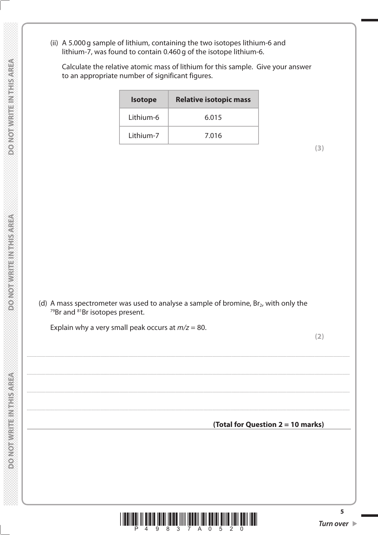(ii) A 5.000 g sample of lithium, containing the two isotopes lithium-6 and lithium-7, was found to contain 0.460 g of the isotope lithium-6.

 Calculate the relative atomic mass of lithium for this sample. Give your answer to an appropriate number of significant figures.

| <b>Isotope</b> | <b>Relative isotopic mass</b> |
|----------------|-------------------------------|
| Lithium-6      | 6.015                         |
| Lithium-7      | 7.016                         |

**(3)**

(d) A mass spectrometer was used to analyse a sample of bromine,  $Br<sub>2</sub>$ , with only the 79Br and 81Br isotopes present.

....................................................................................................................................................................................................................................................................................

....................................................................................................................................................................................................................................................................................

....................................................................................................................................................................................................................................................................................

....................................................................................................................................................................................................................................................................................

Explain why a very small peak occurs at  $m/z = 80$ .

**(2)**

**(Total for Question 2 = 10 marks)**



**5**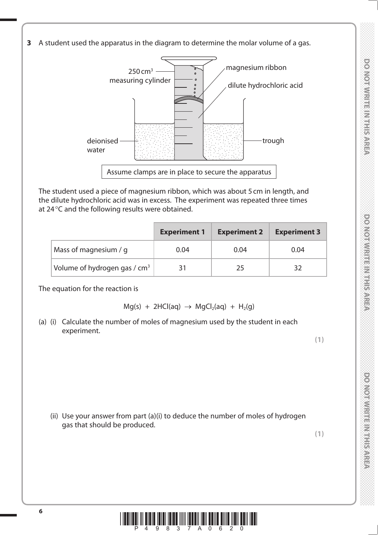**3** A student used the apparatus in the diagram to determine the molar volume of a gas.



 The student used a piece of magnesium ribbon, which was about 5 cm in length, and the dilute hydrochloric acid was in excess. The experiment was repeated three times at 24°C and the following results were obtained.

|                                          | <b>Experiment 1</b> | <b>Experiment 2</b> | <b>Experiment 3</b> |
|------------------------------------------|---------------------|---------------------|---------------------|
| Mass of magnesium / g                    | 0.04                | 0.04                | 0.04                |
| Volume of hydrogen gas / cm <sup>3</sup> | 31                  | 25                  |                     |

The equation for the reaction is

 $Mg(s) + 2HCl(aq) \rightarrow MgCl<sub>2</sub>(aq) + H<sub>2</sub>(g)$ 

 (a) (i) Calculate the number of moles of magnesium used by the student in each experiment.

**(1)**

*DO NOT WRITE IN THIS AREA DO NOT WRITE IN THIS AREA DO NOT WRITE IN THIS AREA DO NOT WRITE IN THIS AREA DO NOT WRITE IN THIS AREA DO NOT WRITE IN THIS AREA DO NOT WRITE IN THIS AREA DO NOT WRITE IN THIS AREA DO NOT WRITE* 

**DOMOTIVITE IN THE AREA** 

**DOMOTWRITE IN THE SARE** 

**DO NOTWRITE IN THIS AREA** 

 (ii) Use your answer from part (a)(i) to deduce the number of moles of hydrogen gas that should be produced.

**(1)**

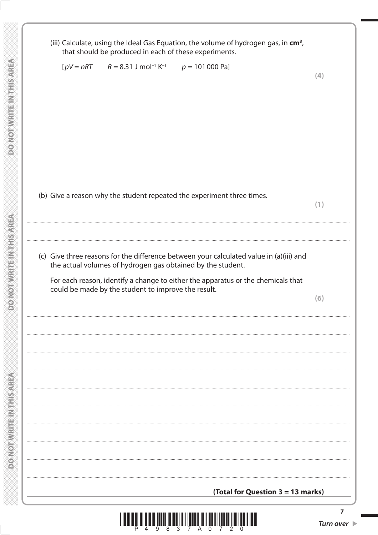| that should be produced in each of these experiments.                       |                                                                                                                                                        |     |
|-----------------------------------------------------------------------------|--------------------------------------------------------------------------------------------------------------------------------------------------------|-----|
| $[pV = nRT$ $R = 8.31$ J mol <sup>-1</sup> K <sup>-1</sup> $p = 101000$ Pa] |                                                                                                                                                        | (4) |
|                                                                             |                                                                                                                                                        |     |
|                                                                             |                                                                                                                                                        |     |
|                                                                             |                                                                                                                                                        |     |
|                                                                             |                                                                                                                                                        |     |
|                                                                             |                                                                                                                                                        |     |
|                                                                             |                                                                                                                                                        |     |
|                                                                             | (b) Give a reason why the student repeated the experiment three times.                                                                                 |     |
|                                                                             |                                                                                                                                                        | (1) |
|                                                                             |                                                                                                                                                        |     |
|                                                                             |                                                                                                                                                        |     |
|                                                                             | (c) Give three reasons for the difference between your calculated value in (a)(iii) and<br>the actual volumes of hydrogen gas obtained by the student. |     |
|                                                                             |                                                                                                                                                        |     |
|                                                                             |                                                                                                                                                        |     |
| could be made by the student to improve the result.                         | For each reason, identify a change to either the apparatus or the chemicals that                                                                       |     |
|                                                                             |                                                                                                                                                        | (6) |
|                                                                             |                                                                                                                                                        |     |
|                                                                             |                                                                                                                                                        |     |
|                                                                             |                                                                                                                                                        |     |
|                                                                             |                                                                                                                                                        |     |
|                                                                             |                                                                                                                                                        |     |
|                                                                             |                                                                                                                                                        |     |
|                                                                             |                                                                                                                                                        |     |
|                                                                             |                                                                                                                                                        |     |
|                                                                             |                                                                                                                                                        |     |
|                                                                             |                                                                                                                                                        |     |
|                                                                             | (Total for Question 3 = 13 marks)                                                                                                                      |     |

**DO NOT WRITE IN THIS AREA** 

**POINOTWRITEINTHIS AREA** 

**DONOTWRITE IN THIS AREA**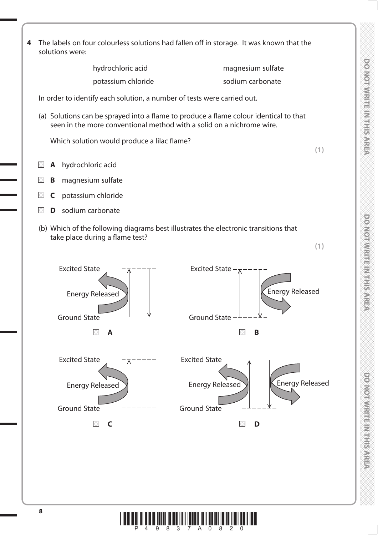

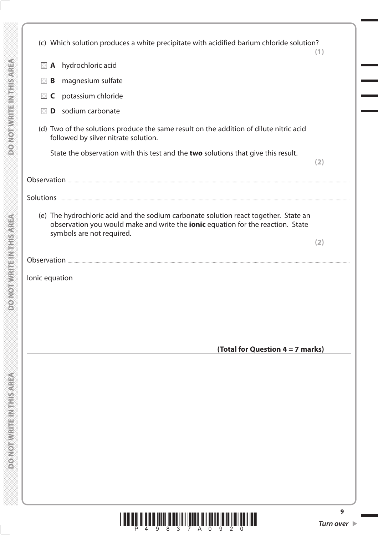| (c) Which solution produces a white precipitate with acidified barium chloride solution?                                                                                                             | (1) |
|------------------------------------------------------------------------------------------------------------------------------------------------------------------------------------------------------|-----|
| A hydrochloric acid<br>$\boxtimes$                                                                                                                                                                   |     |
| magnesium sulfate<br>$\boxtimes$<br>B                                                                                                                                                                |     |
| potassium chloride<br>$\boxtimes$<br>C                                                                                                                                                               |     |
| <b>D</b> sodium carbonate<br>$\boxtimes$                                                                                                                                                             |     |
| (d) Two of the solutions produce the same result on the addition of dilute nitric acid<br>followed by silver nitrate solution.                                                                       |     |
| State the observation with this test and the two solutions that give this result.                                                                                                                    | (2) |
|                                                                                                                                                                                                      |     |
|                                                                                                                                                                                                      |     |
| (e) The hydrochloric acid and the sodium carbonate solution react together. State an<br>observation you would make and write the ionic equation for the reaction. State<br>symbols are not required. |     |
|                                                                                                                                                                                                      | (2) |
|                                                                                                                                                                                                      |     |
| lonic equation                                                                                                                                                                                       |     |
|                                                                                                                                                                                                      |     |
| (Total for Question $4 = 7$ marks)                                                                                                                                                                   |     |
|                                                                                                                                                                                                      |     |
|                                                                                                                                                                                                      |     |
|                                                                                                                                                                                                      |     |
|                                                                                                                                                                                                      |     |
|                                                                                                                                                                                                      |     |
|                                                                                                                                                                                                      |     |
|                                                                                                                                                                                                      |     |



**9**

**PO NOT WRITE INTHIS AREA** 

**DO NOT WRITE IN THIS AREA**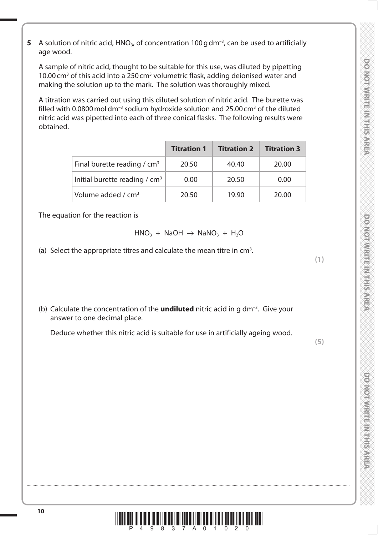**5** A solution of nitric acid, HNO<sub>3</sub>, of concentration 100 g dm<sup>-3</sup>, can be used to artificially age wood.

 A sample of nitric acid, thought to be suitable for this use, was diluted by pipetting 10.00 cm<sup>3</sup> of this acid into a 250 cm<sup>3</sup> volumetric flask, adding deionised water and making the solution up to the mark. The solution was thoroughly mixed.

 A titration was carried out using this diluted solution of nitric acid. The burette was filled with 0.0800 mol dm<sup>-3</sup> sodium hydroxide solution and 25.00 cm<sup>3</sup> of the diluted nitric acid was pipetted into each of three conical flasks. The following results were obtained.

|                                 | <b>Titration 1</b> | <b>Titration 2</b> | <b>Titration 3</b> |
|---------------------------------|--------------------|--------------------|--------------------|
| Final burette reading / $cm3$   | 20.50              | 40.40              | 20.00              |
| Initial burette reading / $cm3$ | 0.00               | 20.50              | 0.00               |
| Volume added / cm <sup>3</sup>  | 20.50              | 19.90              | 20.00              |

The equation for the reaction is

$$
HNO3 + NaOH \rightarrow NaNO3 + H2O
$$

- (a) Select the appropriate titres and calculate the mean titre in  $cm<sup>3</sup>$ .
	- (b) Calculate the concentration of the **undiluted** nitric acid in g dm–3. Give your answer to one decimal place.

Deduce whether this nitric acid is suitable for use in artificially ageing wood.

**(5)**

**(1)**



....................................................................................................................................................................................................................................................................................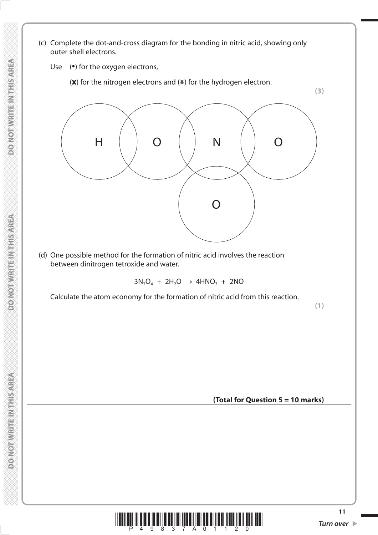(c) Complete the dot-and-cross diagram for the bonding in nitric acid, showing only outer shell electrons.

Use (•) for the oxygen electrons,

(**x**) for the nitrogen electrons and (**\***) for the hydrogen electron.



 (d) One possible method for the formation of nitric acid involves the reaction between dinitrogen tetroxide and water.

 $3N_2O_4 + 2H_2O \rightarrow 4HNO_3 + 2NO$ 

Calculate the atom economy for the formation of nitric acid from this reaction.

**(1)**



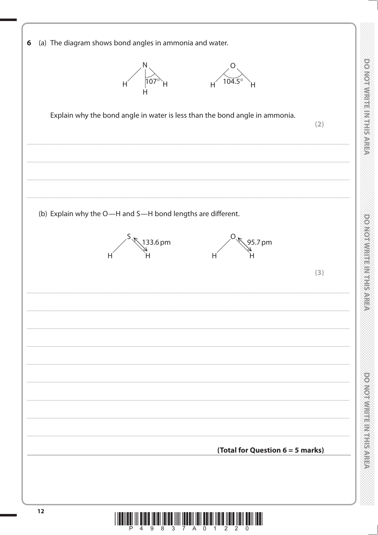

Ш II<br>9  $\frac{1}{8}$   $\frac{1}{3}$   $\frac{1}{7}$   $\frac{1}{8}$   $\frac{1}{10}$  $\frac{1}{2}$  ,  $\frac{1}{2}$  ,  $\frac{1}{2}$  ,  $\frac{1}{2}$  ,  $\frac{1}{2}$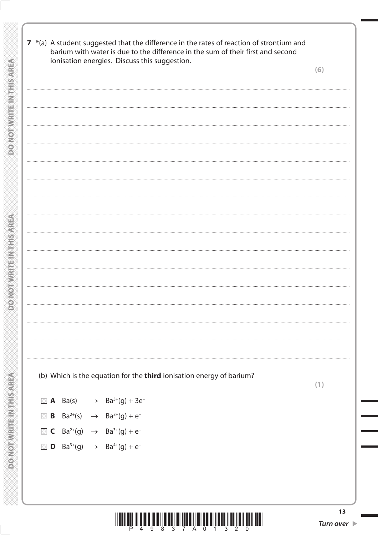|  | ionisation energies. Discuss this suggestion.                                     |                                                                      | (6) |
|--|-----------------------------------------------------------------------------------|----------------------------------------------------------------------|-----|
|  |                                                                                   |                                                                      |     |
|  |                                                                                   |                                                                      |     |
|  |                                                                                   |                                                                      |     |
|  |                                                                                   |                                                                      |     |
|  |                                                                                   |                                                                      |     |
|  |                                                                                   |                                                                      |     |
|  |                                                                                   |                                                                      |     |
|  |                                                                                   |                                                                      |     |
|  |                                                                                   |                                                                      |     |
|  |                                                                                   |                                                                      |     |
|  |                                                                                   |                                                                      |     |
|  |                                                                                   |                                                                      |     |
|  |                                                                                   |                                                                      |     |
|  |                                                                                   |                                                                      |     |
|  |                                                                                   |                                                                      |     |
|  |                                                                                   |                                                                      |     |
|  |                                                                                   |                                                                      |     |
|  |                                                                                   |                                                                      |     |
|  |                                                                                   |                                                                      |     |
|  |                                                                                   |                                                                      |     |
|  |                                                                                   | (b) Which is the equation for the third ionisation energy of barium? | (1) |
|  | <b>A</b> Ba(s) $\rightarrow$ Ba <sup>3+</sup> (g) + 3e <sup>-</sup>               |                                                                      |     |
|  | <b>B</b> $Ba^{2+}(s) \rightarrow Ba^{3+}(g) + e^{-}$                              |                                                                      |     |
|  | <b>C</b> Ba <sup>2+</sup> (g) $\rightarrow$ Ba <sup>3+</sup> (g) + e <sup>-</sup> |                                                                      |     |

**DO NOT WRITE IN THIS AREA** 

DO NOT WRITE IN THIS AREA

**DONOTWRITEINITHSAREA** 



 $13$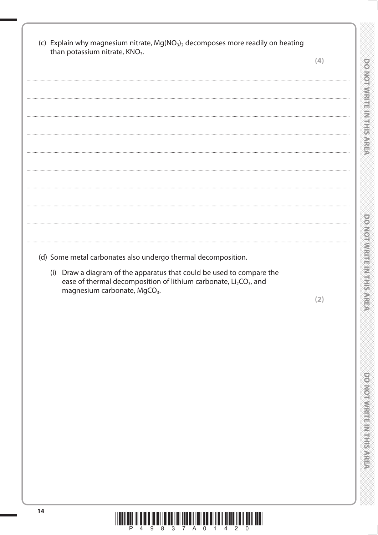| (c) Explain why magnesium nitrate, $Mg(NO3)2$ decomposes more readily on heating<br>than potassium nitrate, KNO <sub>3</sub> . |     |
|--------------------------------------------------------------------------------------------------------------------------------|-----|
|                                                                                                                                | (4) |
|                                                                                                                                |     |
|                                                                                                                                |     |
|                                                                                                                                |     |
|                                                                                                                                |     |
|                                                                                                                                |     |
|                                                                                                                                |     |
|                                                                                                                                |     |
|                                                                                                                                |     |
|                                                                                                                                |     |
|                                                                                                                                |     |
|                                                                                                                                |     |
|                                                                                                                                |     |
|                                                                                                                                |     |
| (d) Some metal carbonates also undergo thermal decomposition.                                                                  |     |
| (i) Draw a diagram of the apparatus that could be used to compare the                                                          |     |
| ease of thermal decomposition of lithium carbonate, Li <sub>2</sub> CO <sub>3</sub> , and                                      |     |
| magnesium carbonate, MgCO <sub>3</sub> .                                                                                       | (2) |
|                                                                                                                                |     |
|                                                                                                                                |     |
|                                                                                                                                |     |
|                                                                                                                                |     |
|                                                                                                                                |     |
|                                                                                                                                |     |
|                                                                                                                                |     |
|                                                                                                                                |     |
|                                                                                                                                |     |
|                                                                                                                                |     |
|                                                                                                                                |     |
|                                                                                                                                |     |
|                                                                                                                                |     |
|                                                                                                                                |     |
|                                                                                                                                |     |

 $14$ 

DO NOTWRITE MITHS AREA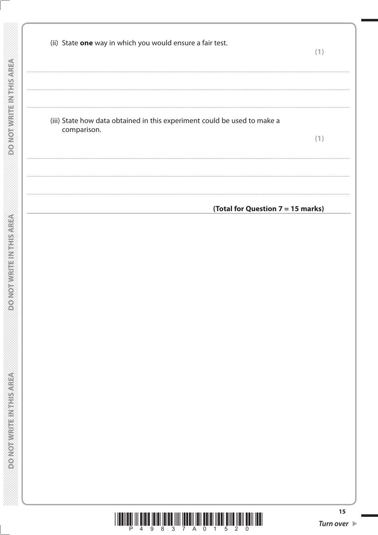| (ii) State one way in which you would ensure a fair test.                               |                                   |
|-----------------------------------------------------------------------------------------|-----------------------------------|
|                                                                                         |                                   |
| (iii) State how data obtained in this experiment could be used to make a<br>comparison. |                                   |
|                                                                                         |                                   |
|                                                                                         | (Total for Question 7 = 15 marks) |

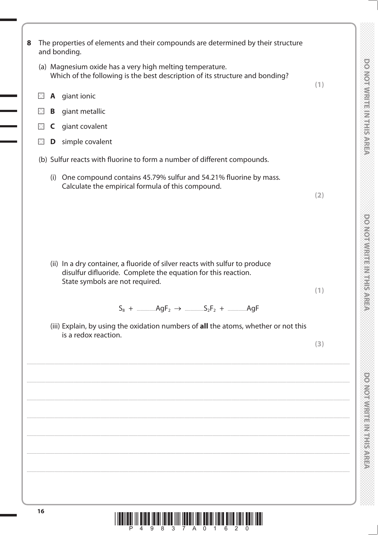|  | ğ             |  |  |
|--|---------------|--|--|
|  |               |  |  |
|  |               |  |  |
|  |               |  |  |
|  |               |  |  |
|  |               |  |  |
|  |               |  |  |
|  | è             |  |  |
|  |               |  |  |
|  | Ě             |  |  |
|  |               |  |  |
|  |               |  |  |
|  |               |  |  |
|  |               |  |  |
|  |               |  |  |
|  |               |  |  |
|  | Ķ.            |  |  |
|  |               |  |  |
|  |               |  |  |
|  |               |  |  |
|  |               |  |  |
|  |               |  |  |
|  |               |  |  |
|  |               |  |  |
|  |               |  |  |
|  |               |  |  |
|  |               |  |  |
|  |               |  |  |
|  |               |  |  |
|  | Q             |  |  |
|  |               |  |  |
|  |               |  |  |
|  | E<br>C        |  |  |
|  |               |  |  |
|  |               |  |  |
|  |               |  |  |
|  |               |  |  |
|  |               |  |  |
|  |               |  |  |
|  | ₩             |  |  |
|  |               |  |  |
|  |               |  |  |
|  |               |  |  |
|  |               |  |  |
|  | $\frac{1}{2}$ |  |  |
|  |               |  |  |
|  |               |  |  |
|  |               |  |  |
|  |               |  |  |
|  |               |  |  |
|  |               |  |  |
|  | 大天雨           |  |  |
|  |               |  |  |
|  |               |  |  |
|  |               |  |  |
|  |               |  |  |
|  |               |  |  |
|  |               |  |  |
|  |               |  |  |
|  | j             |  |  |
|  |               |  |  |
|  |               |  |  |
|  |               |  |  |

| 8 |             |   | The properties of elements and their compounds are determined by their structure<br>and bonding.                                                                                |     |
|---|-------------|---|---------------------------------------------------------------------------------------------------------------------------------------------------------------------------------|-----|
|   |             |   | (a) Magnesium oxide has a very high melting temperature.<br>Which of the following is the best description of its structure and bonding?                                        | (1) |
|   | $\times$    |   | A giant ionic                                                                                                                                                                   |     |
|   | $\times$    | Β | giant metallic                                                                                                                                                                  |     |
|   | $\boxtimes$ |   | C giant covalent                                                                                                                                                                |     |
|   | $\boxtimes$ |   | <b>D</b> simple covalent                                                                                                                                                        |     |
|   |             |   | (b) Sulfur reacts with fluorine to form a number of different compounds.                                                                                                        |     |
|   |             |   | (i) One compound contains 45.79% sulfur and 54.21% fluorine by mass.<br>Calculate the empirical formula of this compound.                                                       | (2) |
|   |             |   | (ii) In a dry container, a fluoride of silver reacts with sulfur to produce<br>disulfur difluoride. Complete the equation for this reaction.<br>State symbols are not required. |     |
|   |             |   |                                                                                                                                                                                 | (1) |
|   |             |   |                                                                                                                                                                                 |     |
|   |             |   | (iii) Explain, by using the oxidation numbers of all the atoms, whether or not this<br>is a redox reaction.                                                                     |     |
|   |             |   |                                                                                                                                                                                 | (3) |
|   |             |   |                                                                                                                                                                                 |     |
|   |             |   |                                                                                                                                                                                 |     |
|   |             |   |                                                                                                                                                                                 |     |
|   |             |   |                                                                                                                                                                                 |     |
|   |             |   |                                                                                                                                                                                 |     |
|   |             |   |                                                                                                                                                                                 |     |
|   |             |   |                                                                                                                                                                                 |     |
|   |             |   |                                                                                                                                                                                 |     |
|   |             |   |                                                                                                                                                                                 |     |

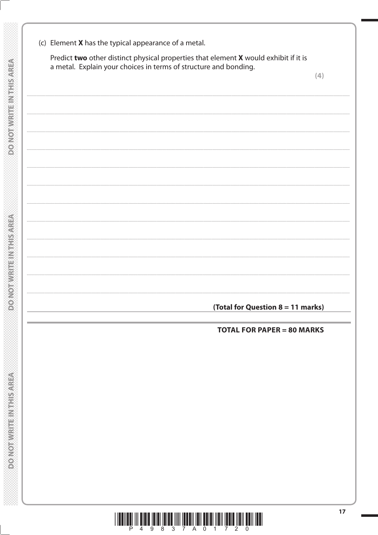| Predict two other distinct physical properties that element X would exhibit if it is<br>a metal. Explain your choices in terms of structure and bonding. |                                   |
|----------------------------------------------------------------------------------------------------------------------------------------------------------|-----------------------------------|
|                                                                                                                                                          | (4)                               |
|                                                                                                                                                          |                                   |
|                                                                                                                                                          |                                   |
|                                                                                                                                                          |                                   |
|                                                                                                                                                          |                                   |
|                                                                                                                                                          |                                   |
|                                                                                                                                                          |                                   |
|                                                                                                                                                          |                                   |
|                                                                                                                                                          |                                   |
|                                                                                                                                                          |                                   |
|                                                                                                                                                          |                                   |
|                                                                                                                                                          |                                   |
|                                                                                                                                                          |                                   |
|                                                                                                                                                          | (Total for Question 8 = 11 marks) |
|                                                                                                                                                          | <b>TOTAL FOR PAPER = 80 MARKS</b> |
|                                                                                                                                                          |                                   |
|                                                                                                                                                          |                                   |
|                                                                                                                                                          |                                   |
|                                                                                                                                                          |                                   |
|                                                                                                                                                          |                                   |
|                                                                                                                                                          |                                   |
|                                                                                                                                                          |                                   |

**DO NOT WRITE IN THIS AREA** 

**DONOTWRITE INTHIS AREA** 

**DO NOT WRITEIN THIS AREA** 

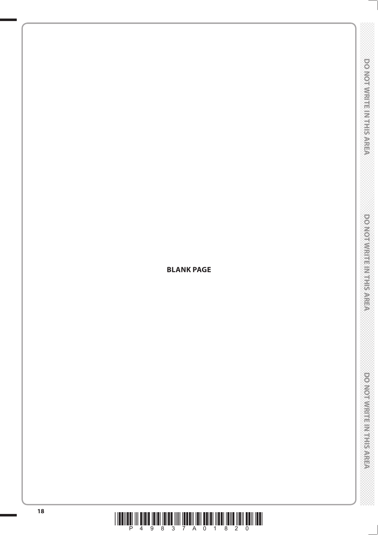

**BLANK PAGE**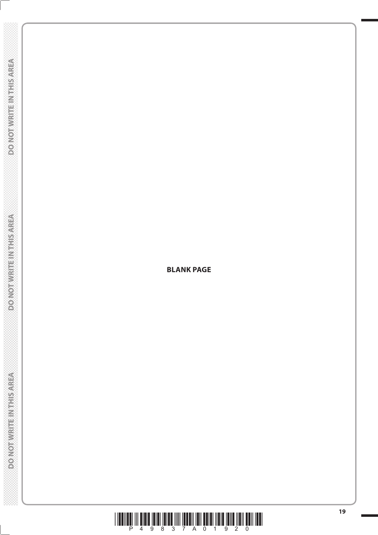